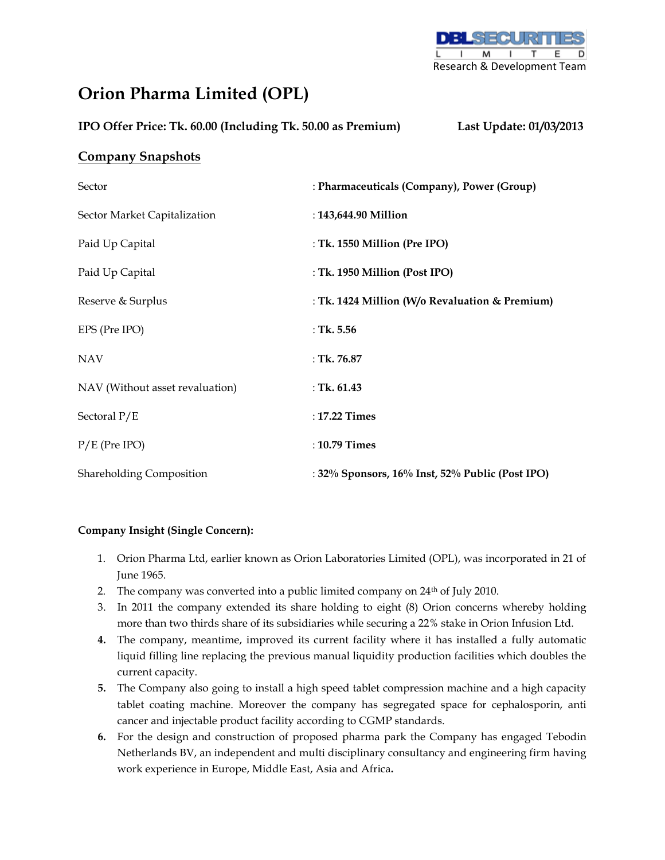

# **Orion Pharma Limited (OPL)**

| IPO Offer Price: Tk. 60.00 (Including Tk. 50.00 as Premium) |  | Last Update: 01/03/2013 |
|-------------------------------------------------------------|--|-------------------------|
|                                                             |  |                         |

## **Company Snapshots**

| Sector                          | : Pharmaceuticals (Company), Power (Group)               |
|---------------------------------|----------------------------------------------------------|
| Sector Market Capitalization    | : 143,644.90 Million                                     |
| Paid Up Capital                 | : Tk. 1550 Million (Pre IPO)                             |
| Paid Up Capital                 | : Tk. 1950 Million (Post IPO)                            |
| Reserve & Surplus               | : Tk. 1424 Million (W/o Revaluation & Premium)           |
| EPS (Pre IPO)                   | : Tk. $5.56$                                             |
| <b>NAV</b>                      | : Tk. $76.87$                                            |
| NAV (Without asset revaluation) | : Tk. $61.43$                                            |
| Sectoral P/E                    | : 17.22 Times                                            |
| $P/E$ (Pre IPO)                 | : 10.79 Times                                            |
| <b>Shareholding Composition</b> | : $32\%$ Sponsors, $16\%$ Inst, $52\%$ Public (Post IPO) |

#### **Company Insight (Single Concern):**

- 1. Orion Pharma Ltd, earlier known as Orion Laboratories Limited (OPL), was incorporated in 21 of June 1965.
- 2. The company was converted into a public limited company on 24<sup>th</sup> of July 2010.
- 3. In 2011 the company extended its share holding to eight (8) Orion concerns whereby holding more than two thirds share of its subsidiaries while securing a 22% stake in Orion Infusion Ltd.
- **4.** The company, meantime, improved its current facility where it has installed a fully automatic liquid filling line replacing the previous manual liquidity production facilities which doubles the current capacity.
- **5.** The Company also going to install a high speed tablet compression machine and a high capacity tablet coating machine. Moreover the company has segregated space for cephalosporin, anti cancer and injectable product facility according to CGMP standards.
- **6.** For the design and construction of proposed pharma park the Company has engaged Tebodin Netherlands BV, an independent and multi disciplinary consultancy and engineering firm having work experience in Europe, Middle East, Asia and Africa**.**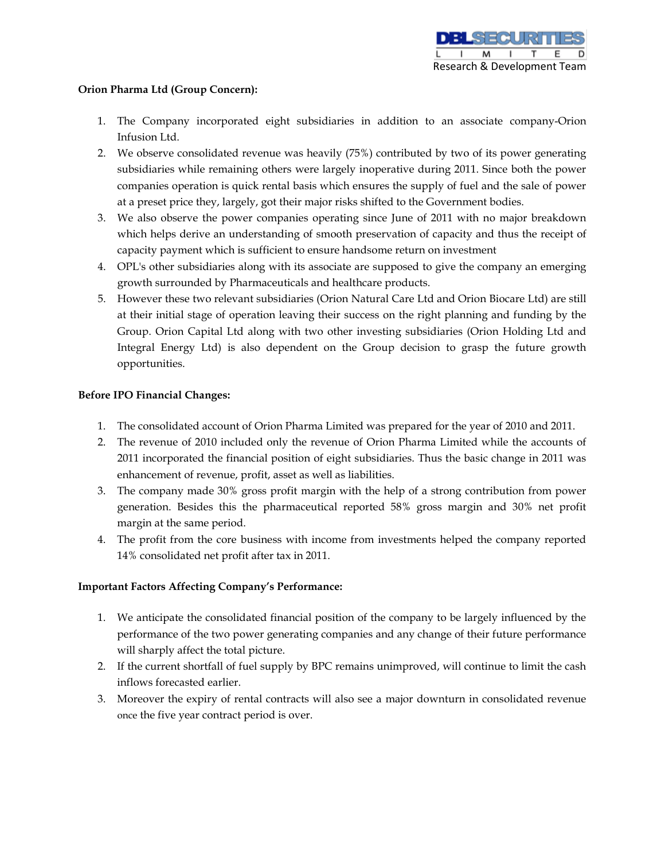#### **Orion Pharma Ltd (Group Concern):**

- 1. The Company incorporated eight subsidiaries in addition to an associate company-Orion Infusion Ltd.
- 2. We observe consolidated revenue was heavily (75%) contributed by two of its power generating subsidiaries while remaining others were largely inoperative during 2011. Since both the power companies operation is quick rental basis which ensures the supply of fuel and the sale of power at a preset price they, largely, got their major risks shifted to the Government bodies.
- 3. We also observe the power companies operating since June of 2011 with no major breakdown which helps derive an understanding of smooth preservation of capacity and thus the receipt of capacity payment which is sufficient to ensure handsome return on investment
- 4. OPL's other subsidiaries along with its associate are supposed to give the company an emerging growth surrounded by Pharmaceuticals and healthcare products.
- 5. However these two relevant subsidiaries (Orion Natural Care Ltd and Orion Biocare Ltd) are still at their initial stage of operation leaving their success on the right planning and funding by the Group. Orion Capital Ltd along with two other investing subsidiaries (Orion Holding Ltd and Integral Energy Ltd) is also dependent on the Group decision to grasp the future growth opportunities.

#### **Before IPO Financial Changes:**

- 1. The consolidated account of Orion Pharma Limited was prepared for the year of 2010 and 2011.
- 2. The revenue of 2010 included only the revenue of Orion Pharma Limited while the accounts of 2011 incorporated the financial position of eight subsidiaries. Thus the basic change in 2011 was enhancement of revenue, profit, asset as well as liabilities.
- 3. The company made 30% gross profit margin with the help of a strong contribution from power generation. Besides this the pharmaceutical reported 58% gross margin and 30% net profit margin at the same period.
- 4. The profit from the core business with income from investments helped the company reported 14% consolidated net profit after tax in 2011.

#### **Important Factors Affecting Company's Performance:**

- 1. We anticipate the consolidated financial position of the company to be largely influenced by the performance of the two power generating companies and any change of their future performance will sharply affect the total picture.
- 2. If the current shortfall of fuel supply by BPC remains unimproved, will continue to limit the cash inflows forecasted earlier.
- 3. Moreover the expiry of rental contracts will also see a major downturn in consolidated revenue once the five year contract period is over.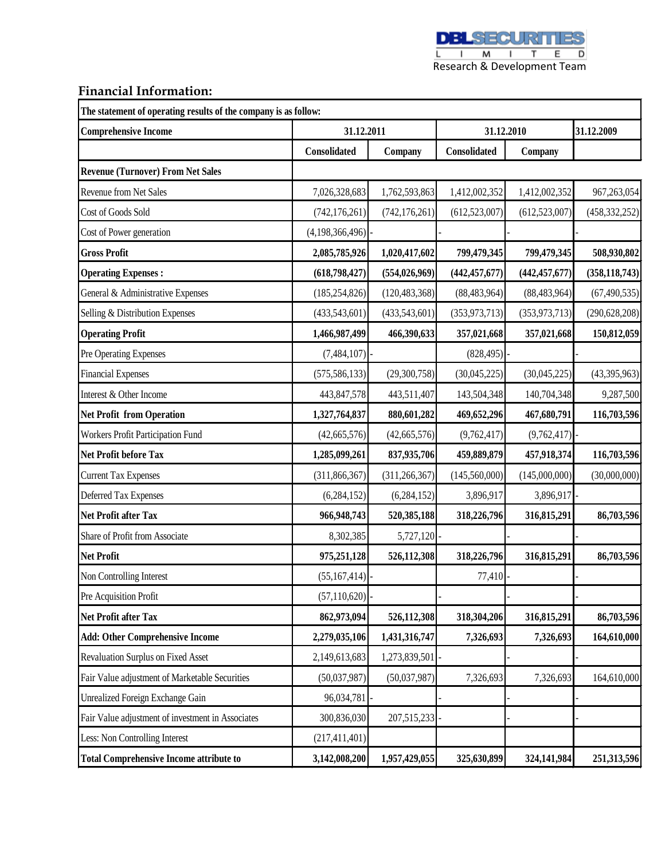**DBLSECURITIES** 

E I M I T E D<br>Research & Development Team

### **Financial Information:**

**The statement of operating results of the company is as follow:**

| <b>Comprehensive Income</b>                       | 31.12.2011      |                 | 31.12.2010      |                 | 31.12.2009      |  |
|---------------------------------------------------|-----------------|-----------------|-----------------|-----------------|-----------------|--|
|                                                   | Consolidated    | Company         | Consolidated    | Company         |                 |  |
| <b>Revenue (Turnover) From Net Sales</b>          |                 |                 |                 |                 |                 |  |
| Revenue from Net Sales                            | 7,026,328,683   | 1,762,593,863   | 1,412,002,352   | 1,412,002,352   | 967,263,054     |  |
| Cost of Goods Sold                                | (742, 176, 261) | (742, 176, 261) | (612, 523, 007) | (612, 523, 007) | (458, 332, 252) |  |
| Cost of Power generation                          | (4,198,366,496) |                 |                 |                 |                 |  |
| <b>Gross Profit</b>                               | 2,085,785,926   | 1,020,417,602   | 799,479,345     | 799,479,345     | 508,930,802     |  |
| <b>Operating Expenses:</b>                        | (618, 798, 427) | (554, 026, 969) | (442, 457, 677) | (442, 457, 677) | (358, 118, 743) |  |
| General & Administrative Expenses                 | (185, 254, 826) | (120, 483, 368) | (88, 483, 964)  | (88, 483, 964)  | (67, 490, 535)  |  |
| Selling & Distribution Expenses                   | (433,543,601)   | (433,543,601)   | (353, 973, 713) | (353, 973, 713) | (290, 628, 208) |  |
| <b>Operating Profit</b>                           | 1,466,987,499   | 466,390,633     | 357,021,668     | 357,021,668     | 150,812,059     |  |
| Pre Operating Expenses                            | (7,484,107)     |                 | (828, 495)      |                 |                 |  |
| <b>Financial Expenses</b>                         | (575, 586, 133) | (29,300,758)    | (30,045,225)    | (30,045,225)    | (43,395,963)    |  |
| Interest & Other Income                           | 443, 847, 578   | 443,511,407     | 143,504,348     | 140,704,348     | 9,287,500       |  |
| <b>Net Profit from Operation</b>                  | 1,327,764,837   | 880,601,282     | 469,652,296     | 467,680,791     | 116,703,596     |  |
| Workers Profit Participation Fund                 | (42, 665, 576)  | (42, 665, 576)  | (9,762,417)     | (9,762,417)     |                 |  |
| Net Profit before Tax                             | 1,285,099,261   | 837,935,706     | 459,889,879     | 457,918,374     | 116,703,596     |  |
| <b>Current Tax Expenses</b>                       | (311, 866, 367) | (311, 266, 367) | (145, 560, 000) | (145,000,000)   | (30,000,000)    |  |
| Deferred Tax Expenses                             | (6, 284, 152)   | (6, 284, 152)   | 3,896,917       | 3,896,917       |                 |  |
| Net Profit after Tax                              | 966,948,743     | 520,385,188     | 318,226,796     | 316,815,291     | 86,703,596      |  |
| Share of Profit from Associate                    | 8,302,385       | 5,727,120       |                 |                 |                 |  |
| <b>Net Profit</b>                                 | 975,251,128     | 526,112,308     | 318,226,796     | 316,815,291     | 86,703,596      |  |
| Non Controlling Interest                          | (55,167,414)    |                 | 77,410          |                 |                 |  |
| Pre Acquisition Profit                            | (57, 110, 620)  |                 |                 |                 |                 |  |
| <b>Net Profit after Tax</b>                       | 862,973,094     | 526,112,308     | 318,304,206     | 316,815,291     | 86,703,596      |  |
| <b>Add: Other Comprehensive Income</b>            | 2,279,035,106   | 1,431,316,747   | 7,326,693       | 7,326,693       | 164,610,000     |  |
| Revaluation Surplus on Fixed Asset                | 2,149,613,683   | 1,273,839,501   |                 |                 |                 |  |
| Fair Value adjustment of Marketable Securities    | (50,037,987)    | (50,037,987)    | 7,326,693       | 7,326,693       | 164,610,000     |  |
| Unrealized Foreign Exchange Gain                  | 96,034,781      |                 |                 |                 |                 |  |
| Fair Value adjustment of investment in Associates | 300,836,030     | 207,515,233     |                 |                 |                 |  |
| Less: Non Controlling Interest                    | (217, 411, 401) |                 |                 |                 |                 |  |
| <b>Total Comprehensive Income attribute to</b>    | 3,142,008,200   | 1,957,429,055   | 325,630,899     | 324,141,984     | 251,313,596     |  |